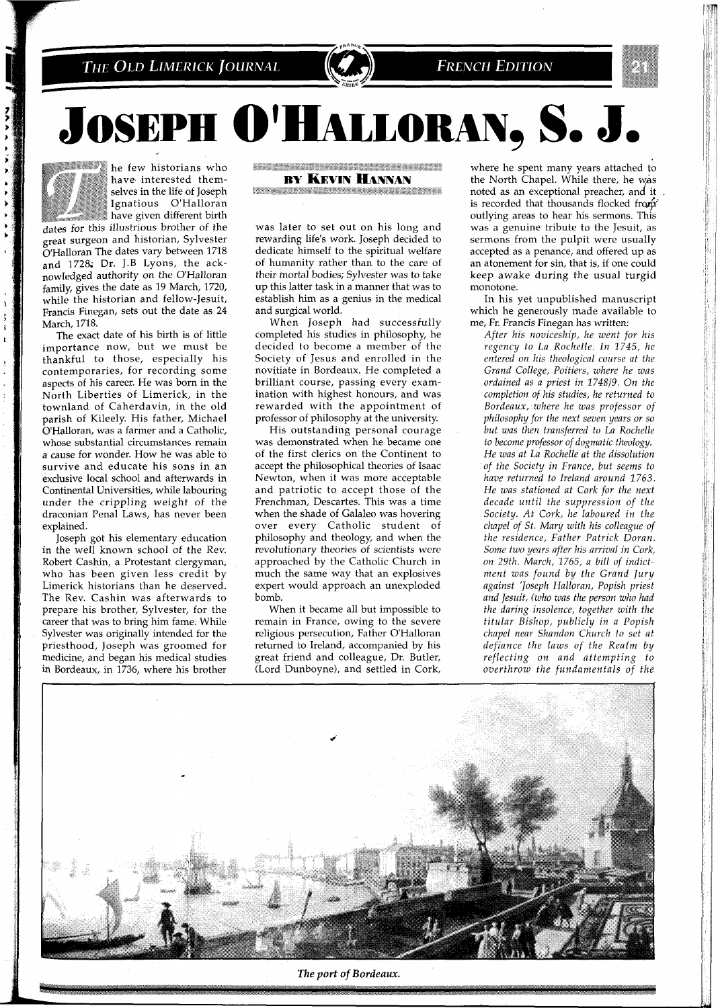THE OLD LIMERICK JOURNAL





**JOSEPH O'HALLORAN, S. J.** 



he few historians who have interested themselves in the life of Joseph Ignatious O'Halloran have given different birth

dates for this illustrious brother of the great surgeon and historian, Sylvester O'Halloran The dates vary between 1718 and 1728; Dr. J.B Lyons, the acknowledged authority on the O'Halloran family, gives the date as 19 March, 1720, while the historian and fellow-Jesuit, Francis Finegan, sets out the date as 24 March, 1718.

The exact date of his birth is of little importance now, but we must be thankful to those, especially his contemporaries, for recording some aspects of his career. He was born in the North Liberties of Limerick, in the townland of Caherdavin, in the old parish of Kileely. His father, Michael O'Halloran, was a farmer and a Catholic, whose substantial circumstances remain a cause for wonder. How he was able to survive and educate his sons in an exclusive local school and afterwards in Continental Universities, while labouring under the crippling weight of the draconian Penal Laws, has never been explained.

Joseph got his elementary education in the well known school of the Rev. Robert Cashin, a Protestant clergyman, who has been given less credit by Limerick historians than he deserved. The Rev. Cashin was afterwards to prepare his brother, Sylvester, for the career that was to bring him fame. While Sylvester was originally intended for the priesthood, Joseph was groomed for medicine, and began his medical studies in Bordeaux, in 1736, where his brother

**WELL-MANUEL AND MODERN COMMUNISTIES BY KEVIN HANNAN** 

**The Committee of the Committee of the Committee** --------

was later to set out on his long and rewarding life's work. Joseph decided to dedicate himself to the spiritual welfare of humanity rather than to the care of their mortal bodies; Sylvester was to take up this latter task in a manner that was to establish him as a genius in the medical and surgical world.

When Joseph had successfully completed his studies in philosophy, he decided to become a member of the Society of Jesus and enrolled in the novitiate in Bordeaux. He completed a brilliant course, passing every examination with highest honours, and was rewarded with the appointment of professor of philosophy at the university.

His outstanding personal courage was demonstrated when he became one of the first clerics on the Continent to accept the philosophical theories of Isaac Newton, when it was more acceptable and patriotic to accept those of the Frenchman, Descartes. This was a time when the shade of Galaleo was hovering over every Catholic student of philosophy and theology, and when the revolutionary theories of scientists were approached by the Catholic Church in much the same way that an explosives expert would approach an unexploded bomb.

When it became all but impossible to remain in France, owing to the severe religious persecution, Father O'Halloran returned to Ireland, accompanied by his great friend and colleague, Dr. Butler, (Lord Dunboyne), and settled in Cork,

where he spent many years attached to the North Chapel. While there, he was noted as an exceptional preacher, and it is recorded that thousands flocked from outlying areas to hear his sermons. This was a genuine tribute to the Jesuit, as sermons from the pulpit were usually accepted as a penance, and offered up as an atonement for sin, that is, if one could keep awake during the usual turgid monotone.

In his yet unpublished manuscript which he generously made available to me, Fr. Francis Finegan has written:

*After his noviceship, he went for his regency to La Rochelle. In 1745, he entered on his theological course at the Grand College, Poitiers, where he was ordained as a priest in 1748/9. On the completion of his studies, he returned to Bordeaux, where he was professor of philosophy for the next seven years or so but was then transferred to La Rochelle to become professor of dogmatic theology. He was at La Rochelle at the dissolution of the Society in France, but seems to have returned to Ireland around 1763. He was stationed at Cork for the next decade until the suppression of the Society. At Cork, he laboured in the chapel of St. Mary with his colleague of the residence, Father Patrick Doran. Some two years after his arrival in Cork, on 29th. March, 1765, a bill of indictment was found by the Grand Jury against 'Joseph Halloran, Popish priest and Jesuit, (who was the person who had the daring insolence, together with the titular Bishop, publicly in a Popish chapel near Shandon Church to set at defiance the laws of the Realm by reflecting on and attempting to overthrow the fundamentals of the* 



The port of Bordeaux.